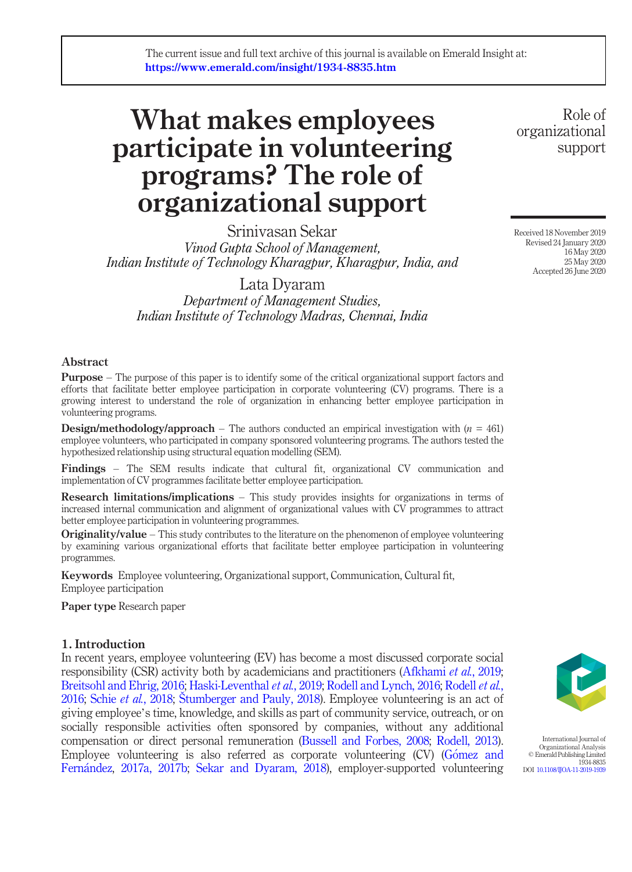# What makes employees participate in volunteering programs? The role of organizational support

Srinivasan Sekar Vinod Gupta School of Management, Indian Institute of Technology Kharagpur, Kharagpur, India, and

Lata Dyaram Department of Management Studies, Indian Institute of Technology Madras, Chennai, India

### Abstract

Purpose – The purpose of this paper is to identify some of the critical organizational support factors and efforts that facilitate better employee participation in corporate volunteering (CV) programs. There is a growing interest to understand the role of organization in enhancing better employee participation in volunteering programs.

**Design/methodology/approach** – The authors conducted an empirical investigation with  $(n = 461)$ employee volunteers, who participated in company sponsored volunteering programs. The authors tested the hypothesized relationship using structural equation modelling (SEM).

Findings – The SEM results indicate that cultural fit, organizational CV communication and implementation of CV programmes facilitate better employee participation.

**Research limitations/implications** – This study provides insights for organizations in terms of increased internal communication and alignment of organizational values with CV programmes to attract better employee participation in volunteering programmes.

**Originality/value** – This study contributes to the literature on the phenomenon of employee volunteering by examining various organizational efforts that facilitate better employee participation in volunteering programmes.

Keywords Employee volunteering, Organizational support, Communication, Cultural fit, Employee participation

Paper type Research paper

#### 1. Introduction

In recent years, employee volunteering (EV) has become a most discussed corporate social responsibility (CSR) activity both by academicians and practitioners (Afkhami et al., 2019; Breitsohl and Ehrig, 2016; Haski-Leventhal et al., 2019; Rodell and Lynch, 2016; Rodell et al., 2016; Schie et al., 2018; Štumberger and Pauly, 2018). Employee volunteering is an act of giving employee's time, knowledge, and skills as part of community service, outreach, or on socially responsible activities often sponsored by companies, without any additional compensation or direct personal remuneration (Bussell and Forbes, 2008; Rodell, 2013). Employee volunteering is also referred as corporate volunteering (CV) (Gómez and Fernandez, 2017a, 2017b; Sekar and Dyaram, 2018), employer-supported volunteering



International Journal of Organizational Analysis © Emerald Publishing Limited 1934-8835 DOI 10.1108/IJOA-11-2019-1939

Role of organizational support

Received 18 November 2019 Revised 24 January 2020 16 May 2020 25 May 2020 Accepted 26 June 2020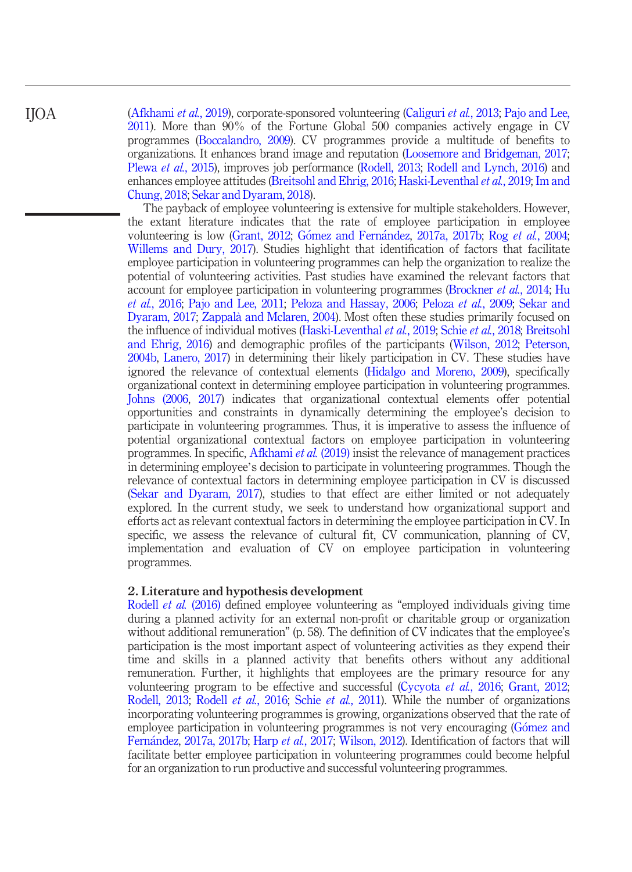(Afkhami et al., 2019), corporate-sponsored volunteering (Caliguri et al., 2013; Pajo and Lee, 2011). More than 90% of the Fortune Global 500 companies actively engage in CV programmes (Boccalandro, 2009). CV programmes provide a multitude of benefits to organizations. It enhances brand image and reputation (Loosemore and Bridgeman, 2017; Plewa et al., 2015), improves job performance (Rodell, 2013; Rodell and Lynch, 2016) and enhances employee attitudes (Breitsohl and Ehrig, 2016; Haski-Leventhal et al., 2019; Im and Chung, 2018; Sekar and Dyaram, 2018).

The payback of employee volunteering is extensive for multiple stakeholders. However, the extant literature indicates that the rate of employee participation in employee volunteering is low (Grant, 2012; Gómez and Fernández, 2017a, 2017b; Rog et al., 2004; Willems and Dury, 2017). Studies highlight that identification of factors that facilitate employee participation in volunteering programmes can help the organization to realize the potential of volunteering activities. Past studies have examined the relevant factors that account for employee participation in volunteering programmes (Brockner et al., 2014; Hu et al., 2016; Pajo and Lee, 2011; Peloza and Hassay, 2006; Peloza et al., 2009; Sekar and Dyaram, 2017; Zappalà and Mclaren, 2004). Most often these studies primarily focused on the influence of individual motives (Haski-Leventhal et al., 2019; Schie et al., 2018; Breitsohl and Ehrig, 2016) and demographic profiles of the participants (Wilson, 2012; Peterson, 2004b, Lanero, 2017) in determining their likely participation in CV. These studies have ignored the relevance of contextual elements (Hidalgo and Moreno, 2009), specifically organizational context in determining employee participation in volunteering programmes. Johns (2006, 2017) indicates that organizational contextual elements offer potential opportunities and constraints in dynamically determining the employee's decision to participate in volunteering programmes. Thus, it is imperative to assess the influence of potential organizational contextual factors on employee participation in volunteering programmes. In specific, Afkhami et al. (2019) insist the relevance of management practices in determining employee's decision to participate in volunteering programmes. Though the relevance of contextual factors in determining employee participation in CV is discussed (Sekar and Dyaram, 2017), studies to that effect are either limited or not adequately explored. In the current study, we seek to understand how organizational support and efforts act as relevant contextual factors in determining the employee participation in CV. In specific, we assess the relevance of cultural fit, CV communication, planning of CV, implementation and evaluation of CV on employee participation in volunteering programmes.

#### 2. Literature and hypothesis development

Rodell et al. (2016) defined employee volunteering as "employed individuals giving time during a planned activity for an external non-profit or charitable group or organization without additional remuneration" (p. 58). The definition of CV indicates that the employee's participation is the most important aspect of volunteering activities as they expend their time and skills in a planned activity that benefits others without any additional remuneration. Further, it highlights that employees are the primary resource for any volunteering program to be effective and successful (Cycyota et al., 2016; Grant, 2012; Rodell, 2013; Rodell *et al.*, 2016; Schie *et al.*, 2011). While the number of organizations incorporating volunteering programmes is growing, organizations observed that the rate of employee participation in volunteering programmes is not very encouraging (Gómez and Fernández, 2017a, 2017b; Harp et al., 2017; Wilson, 2012). Identification of factors that will facilitate better employee participation in volunteering programmes could become helpful for an organization to run productive and successful volunteering programmes.

IJOA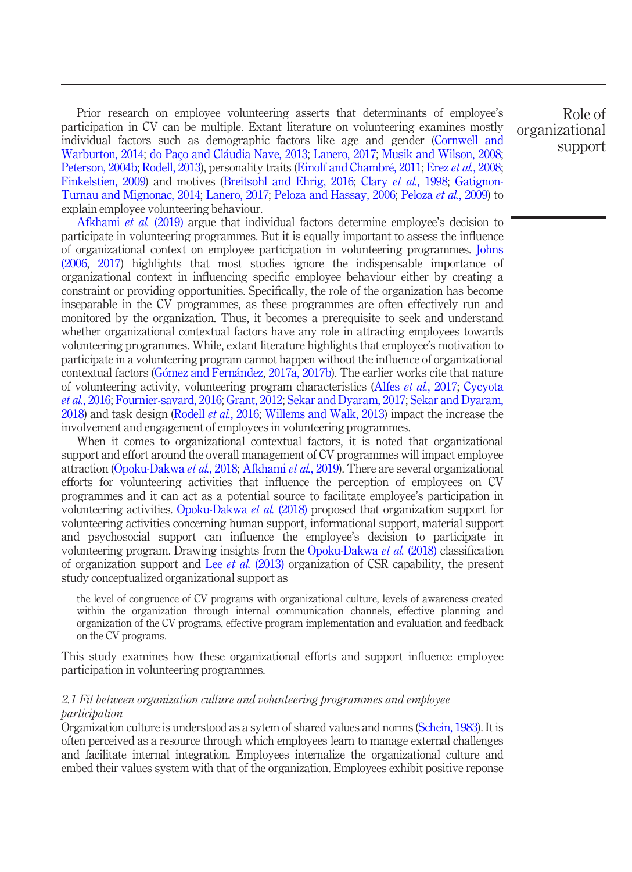Prior research on employee volunteering asserts that determinants of employee's participation in CV can be multiple. Extant literature on volunteering examines mostly individual factors such as demographic factors like age and gender (Cornwell and Warburton, 2014; do Paço and Claudia Nave, 2013; Lanero, 2017; Musik and Wilson, 2008; Peterson, 2004b; Rodell, 2013), personality traits (Einolf and Chambré, 2011; Erez et al., 2008; Finkelstien, 2009) and motives (Breitsohl and Ehrig, 2016; Clary et al., 1998; Gatignon-Turnau and Mignonac, 2014; Lanero, 2017; Peloza and Hassay, 2006; Peloza et al., 2009) to explain employee volunteering behaviour.

Afkhami et al. (2019) argue that individual factors determine employee's decision to participate in volunteering programmes. But it is equally important to assess the influence of organizational context on employee participation in volunteering programmes. Johns (2006, 2017) highlights that most studies ignore the indispensable importance of organizational context in influencing specific employee behaviour either by creating a constraint or providing opportunities. Specifically, the role of the organization has become inseparable in the CV programmes, as these programmes are often effectively run and monitored by the organization. Thus, it becomes a prerequisite to seek and understand whether organizational contextual factors have any role in attracting employees towards volunteering programmes. While, extant literature highlights that employee's motivation to participate in a volunteering program cannot happen without the influence of organizational contextual factors (Gómez and Fernández, 2017a, 2017b). The earlier works cite that nature of volunteering activity, volunteering program characteristics (Alfes et al., 2017; Cycyota et al., 2016; Fournier-savard, 2016; Grant, 2012; Sekar and Dyaram, 2017; Sekar and Dyaram, 2018) and task design (Rodell *et al.*, 2016; Willems and Walk, 2013) impact the increase the involvement and engagement of employees in volunteering programmes.

When it comes to organizational contextual factors, it is noted that organizational support and effort around the overall management of CV programmes will impact employee attraction (Opoku-Dakwa et al., 2018; Afkhami et al., 2019). There are several organizational efforts for volunteering activities that influence the perception of employees on CV programmes and it can act as a potential source to facilitate employee's participation in volunteering activities. Opoku-Dakwa et al. (2018) proposed that organization support for volunteering activities concerning human support, informational support, material support and psychosocial support can influence the employee's decision to participate in volunteering program. Drawing insights from the Opoku-Dakwa et al. (2018) classification of organization support and Lee et al. (2013) organization of CSR capability, the present study conceptualized organizational support as

the level of congruence of CV programs with organizational culture, levels of awareness created within the organization through internal communication channels, effective planning and organization of the CV programs, effective program implementation and evaluation and feedback on the CV programs.

This study examines how these organizational efforts and support influence employee participation in volunteering programmes.

#### 2.1 Fit between organization culture and volunteering programmes and employee participation

Organization culture is understood as a sytem of shared values and norms (Schein, 1983). It is often perceived as a resource through which employees learn to manage external challenges and facilitate internal integration. Employees internalize the organizational culture and embed their values system with that of the organization. Employees exhibit positive reponse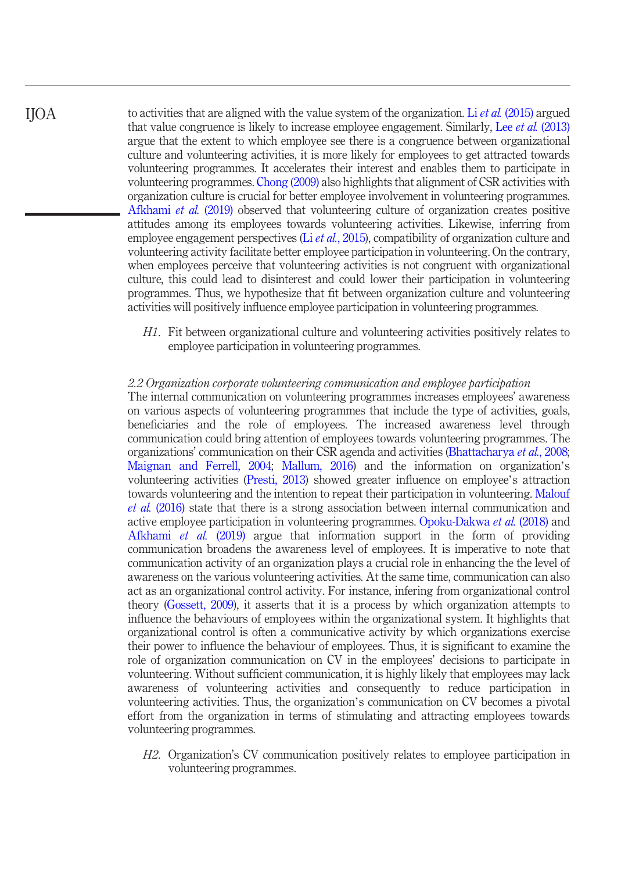to activities that are aligned with the value system of the organization. Li et al. (2015) argued that value congruence is likely to increase employee engagement. Similarly, Lee et al. (2013) argue that the extent to which employee see there is a congruence between organizational culture and volunteering activities, it is more likely for employees to get attracted towards volunteering programmes. It accelerates their interest and enables them to participate in volunteering programmes. Chong (2009) also highlights that alignment of CSR activities with organization culture is crucial for better employee involvement in volunteering programmes. Afkhami et al. (2019) observed that volunteering culture of organization creates positive attitudes among its employees towards volunteering activities. Likewise, inferring from employee engagement perspectives (Li et al., 2015), compatibility of organization culture and volunteering activity facilitate better employee participation in volunteering. On the contrary, when employees perceive that volunteering activities is not congruent with organizational culture, this could lead to disinterest and could lower their participation in volunteering programmes. Thus, we hypothesize that fit between organization culture and volunteering activities will positively influence employee participation in volunteering programmes. IJOA

> H1. Fit between organizational culture and volunteering activities positively relates to employee participation in volunteering programmes.

#### 2.2 Organization corporate volunteering communication and employee participation

The internal communication on volunteering programmes increases employees' awareness on various aspects of volunteering programmes that include the type of activities, goals, beneficiaries and the role of employees. The increased awareness level through communication could bring attention of employees towards volunteering programmes. The organizations' communication on their CSR agenda and activities (Bhattacharya et al., 2008; Maignan and Ferrell, 2004; Mallum, 2016) and the information on organization's volunteering activities (Presti, 2013) showed greater influence on employee's attraction towards volunteering and the intention to repeat their participation in volunteering. Malouf et al. (2016) state that there is a strong association between internal communication and active employee participation in volunteering programmes. Opoku-Dakwa et al. (2018) and Afkhami et al. (2019) argue that information support in the form of providing communication broadens the awareness level of employees. It is imperative to note that communication activity of an organization plays a crucial role in enhancing the the level of awareness on the various volunteering activities. At the same time, communication can also act as an organizational control activity. For instance, infering from organizational control theory (Gossett, 2009), it asserts that it is a process by which organization attempts to influence the behaviours of employees within the organizational system. It highlights that organizational control is often a communicative activity by which organizations exercise their power to influence the behaviour of employees. Thus, it is significant to examine the role of organization communication on CV in the employees' decisions to participate in volunteering. Without sufficient communication, it is highly likely that employees may lack awareness of volunteering activities and consequently to reduce participation in volunteering activities. Thus, the organization's communication on CV becomes a pivotal effort from the organization in terms of stimulating and attracting employees towards volunteering programmes.

H2. Organization's CV communication positively relates to employee participation in volunteering programmes.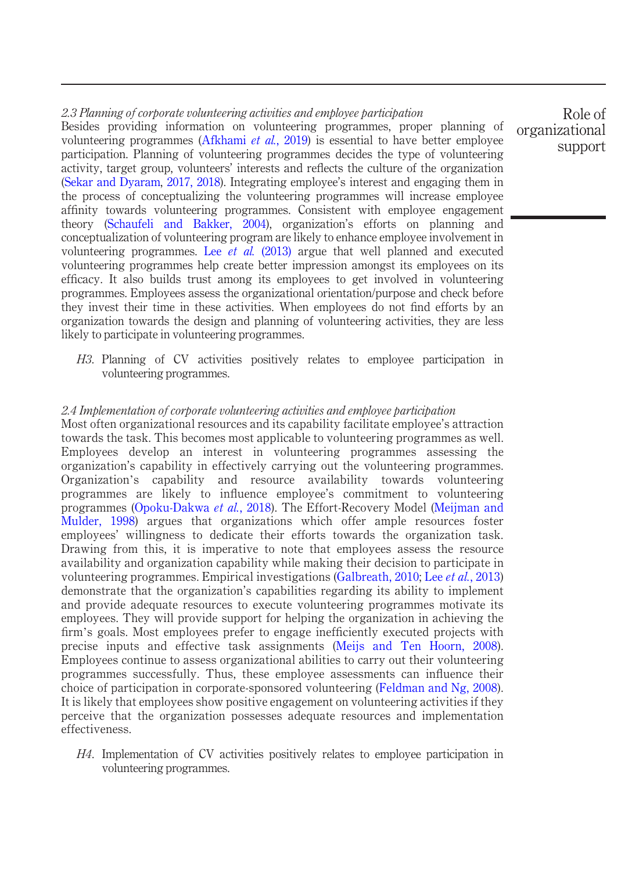### 2.3 Planning of corporate volunteering activities and employee participation Besides providing information on volunteering programmes, proper planning of volunteering programmes (Afkhami et al., 2019) is essential to have better employee participation. Planning of volunteering programmes decides the type of volunteering activity, target group, volunteers' interests and reflects the culture of the organization (Sekar and Dyaram, 2017, 2018). Integrating employee's interest and engaging them in the process of conceptualizing the volunteering programmes will increase employee affinity towards volunteering programmes. Consistent with employee engagement theory (Schaufeli and Bakker, 2004), organization's efforts on planning and conceptualization of volunteering program are likely to enhance employee involvement in volunteering programmes. Lee *et al.* (2013) argue that well planned and executed volunteering programmes help create better impression amongst its employees on its efficacy. It also builds trust among its employees to get involved in volunteering programmes. Employees assess the organizational orientation/purpose and check before they invest their time in these activities. When employees do not find efforts by an organization towards the design and planning of volunteering activities, they are less likely to participate in volunteering programmes.

H3. Planning of CV activities positively relates to employee participation in volunteering programmes.

#### 2.4 Implementation of corporate volunteering activities and employee participation

Most often organizational resources and its capability facilitate employee's attraction towards the task. This becomes most applicable to volunteering programmes as well. Employees develop an interest in volunteering programmes assessing the organization's capability in effectively carrying out the volunteering programmes. Organization's capability and resource availability towards volunteering programmes are likely to influence employee's commitment to volunteering programmes (Opoku-Dakwa et al., 2018). The Effort-Recovery Model (Meijman and Mulder, 1998) argues that organizations which offer ample resources foster employees' willingness to dedicate their efforts towards the organization task. Drawing from this, it is imperative to note that employees assess the resource availability and organization capability while making their decision to participate in volunteering programmes. Empirical investigations (Galbreath, 2010; Lee et al., 2013) demonstrate that the organization's capabilities regarding its ability to implement and provide adequate resources to execute volunteering programmes motivate its employees. They will provide support for helping the organization in achieving the firm's goals. Most employees prefer to engage inefficiently executed projects with precise inputs and effective task assignments (Meijs and Ten Hoorn, 2008). Employees continue to assess organizational abilities to carry out their volunteering programmes successfully. Thus, these employee assessments can influence their choice of participation in corporate-sponsored volunteering (Feldman and Ng, 2008). It is likely that employees show positive engagement on volunteering activities if they perceive that the organization possesses adequate resources and implementation effectiveness.

H4. Implementation of CV activities positively relates to employee participation in volunteering programmes.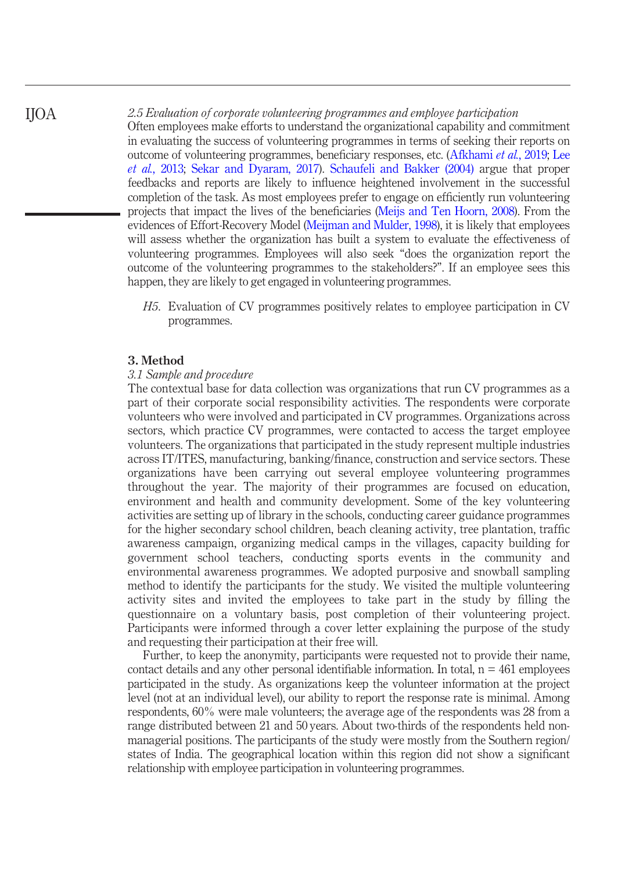2.5 Evaluation of corporate volunteering programmes and employee participation

Often employees make efforts to understand the organizational capability and commitment in evaluating the success of volunteering programmes in terms of seeking their reports on outcome of volunteering programmes, beneficiary responses, etc. (Afkhami et al., 2019; Lee et al., 2013; Sekar and Dyaram, 2017). Schaufeli and Bakker (2004) argue that proper feedbacks and reports are likely to influence heightened involvement in the successful completion of the task. As most employees prefer to engage on efficiently run volunteering projects that impact the lives of the beneficiaries (Meijs and Ten Hoorn, 2008). From the evidences of Effort-Recovery Model (Meijman and Mulder, 1998), it is likely that employees will assess whether the organization has built a system to evaluate the effectiveness of volunteering programmes. Employees will also seek "does the organization report the outcome of the volunteering programmes to the stakeholders?". If an employee sees this happen, they are likely to get engaged in volunteering programmes.

H5. Evaluation of CV programmes positively relates to employee participation in CV programmes.

#### 3. Method

#### 3.1 Sample and procedure

The contextual base for data collection was organizations that run CV programmes as a part of their corporate social responsibility activities. The respondents were corporate volunteers who were involved and participated in CV programmes. Organizations across sectors, which practice CV programmes, were contacted to access the target employee volunteers. The organizations that participated in the study represent multiple industries across IT/ITES, manufacturing, banking/finance, construction and service sectors. These organizations have been carrying out several employee volunteering programmes throughout the year. The majority of their programmes are focused on education, environment and health and community development. Some of the key volunteering activities are setting up of library in the schools, conducting career guidance programmes for the higher secondary school children, beach cleaning activity, tree plantation, traffic awareness campaign, organizing medical camps in the villages, capacity building for government school teachers, conducting sports events in the community and environmental awareness programmes. We adopted purposive and snowball sampling method to identify the participants for the study. We visited the multiple volunteering activity sites and invited the employees to take part in the study by filling the questionnaire on a voluntary basis, post completion of their volunteering project. Participants were informed through a cover letter explaining the purpose of the study and requesting their participation at their free will.

Further, to keep the anonymity, participants were requested not to provide their name, contact details and any other personal identifiable information. In total,  $n = 461$  employees participated in the study. As organizations keep the volunteer information at the project level (not at an individual level), our ability to report the response rate is minimal. Among respondents, 60% were male volunteers; the average age of the respondents was 28 from a range distributed between 21 and 50 years. About two-thirds of the respondents held nonmanagerial positions. The participants of the study were mostly from the Southern region/ states of India. The geographical location within this region did not show a significant relationship with employee participation in volunteering programmes.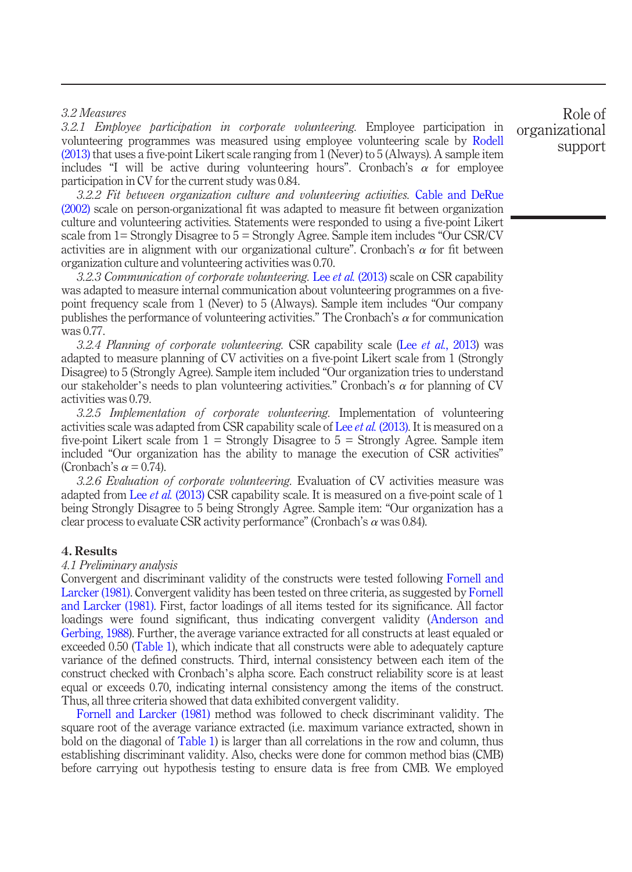#### 3.2 Measures

3.2.1 Employee participation in corporate volunteering. Employee participation in volunteering programmes was measured using employee volunteering scale by Rodell (2013) that uses a five-point Likert scale ranging from 1 (Never) to 5 (Always). A sample item includes "I will be active during volunteering hours". Cronbach's  $\alpha$  for employee participation in CV for the current study was 0.84.

3.2.2 Fit between organization culture and volunteering activities. Cable and DeRue (2002) scale on person-organizational fit was adapted to measure fit between organization culture and volunteering activities. Statements were responded to using a five-point Likert scale from 1= Strongly Disagree to 5 = Strongly Agree. Sample item includes "Our CSR/CV activities are in alignment with our organizational culture". Cronbach's  $\alpha$  for fit between organization culture and volunteering activities was 0.70.

3.2.3 Communication of corporate volunteering. Lee et al. (2013) scale on CSR capability was adapted to measure internal communication about volunteering programmes on a fivepoint frequency scale from 1 (Never) to 5 (Always). Sample item includes "Our company publishes the performance of volunteering activities." The Cronbach's  $\alpha$  for communication was 0.77.

3.2.4 Planning of corporate volunteering. CSR capability scale (Lee et al., 2013) was adapted to measure planning of CV activities on a five-point Likert scale from 1 (Strongly Disagree) to 5 (Strongly Agree). Sample item included "Our organization tries to understand our stakeholder's needs to plan volunteering activities." Cronbach's  $\alpha$  for planning of CV activities was 0.79.

3.2.5 Implementation of corporate volunteering. Implementation of volunteering activities scale was adapted from CSR capability scale of Lee *et al.* (2013). It is measured on a five-point Likert scale from  $1 =$  Strongly Disagree to  $5 =$  Strongly Agree. Sample item included "Our organization has the ability to manage the execution of CSR activities" (Cronbach's  $\alpha$  = 0.74).

3.2.6 Evaluation of corporate volunteering. Evaluation of CV activities measure was adapted from Lee *et al.* (2013) CSR capability scale. It is measured on a five-point scale of 1 being Strongly Disagree to 5 being Strongly Agree. Sample item: "Our organization has a clear process to evaluate CSR activity performance" (Cronbach's  $\alpha$  was 0.84).

#### 4. Results

#### 4.1 Preliminary analysis

Convergent and discriminant validity of the constructs were tested following Fornell and Larcker (1981). Convergent validity has been tested on three criteria, as suggested by Fornell and Larcker (1981). First, factor loadings of all items tested for its significance. All factor loadings were found significant, thus indicating convergent validity (Anderson and Gerbing, 1988). Further, the average variance extracted for all constructs at least equaled or exceeded 0.50 (Table 1), which indicate that all constructs were able to adequately capture variance of the defined constructs. Third, internal consistency between each item of the construct checked with Cronbach's alpha score. Each construct reliability score is at least equal or exceeds 0.70, indicating internal consistency among the items of the construct. Thus, all three criteria showed that data exhibited convergent validity.

Fornell and Larcker (1981) method was followed to check discriminant validity. The square root of the average variance extracted (i.e. maximum variance extracted, shown in bold on the diagonal of Table 1) is larger than all correlations in the row and column, thus establishing discriminant validity. Also, checks were done for common method bias (CMB) before carrying out hypothesis testing to ensure data is free from CMB. We employed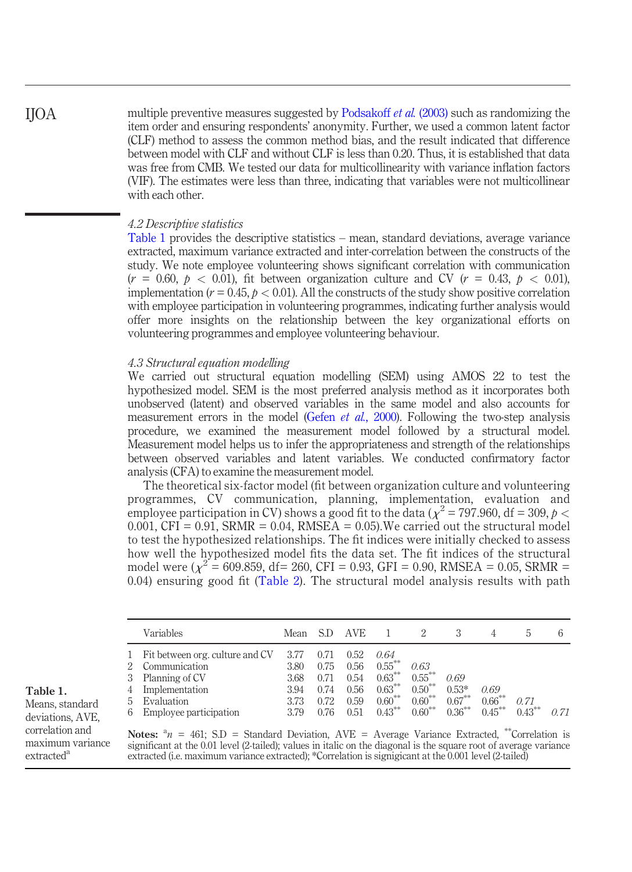multiple preventive measures suggested by Podsakoff *et al.* (2003) such as randomizing the item order and ensuring respondents' anonymity. Further, we used a common latent factor (CLF) method to assess the common method bias, and the result indicated that difference between model with CLF and without CLF is less than 0.20. Thus, it is established that data was free from CMB. We tested our data for multicollinearity with variance inflation factors (VIF). The estimates were less than three, indicating that variables were not multicollinear with each other.

#### 4.2 Descriptive statistics

Table 1 provides the descriptive statistics – mean, standard deviations, average variance extracted, maximum variance extracted and inter-correlation between the constructs of the study. We note employee volunteering shows significant correlation with communication  $(r = 0.60, p < 0.01)$ , fit between organization culture and CV  $(r = 0.43, p < 0.01)$ , implementation ( $r = 0.45$ ,  $p < 0.01$ ). All the constructs of the study show positive correlation with employee participation in volunteering programmes, indicating further analysis would offer more insights on the relationship between the key organizational efforts on volunteering programmes and employee volunteering behaviour.

#### 4.3 Structural equation modelling

We carried out structural equation modelling (SEM) using AMOS 22 to test the hypothesized model. SEM is the most preferred analysis method as it incorporates both unobserved (latent) and observed variables in the same model and also accounts for measurement errors in the model (Gefen et al., 2000). Following the two-step analysis procedure, we examined the measurement model followed by a structural model. Measurement model helps us to infer the appropriateness and strength of the relationships between observed variables and latent variables. We conducted confirmatory factor analysis (CFA) to examine the measurement model.

The theoretical six-factor model (fit between organization culture and volunteering programmes, CV communication, planning, implementation, evaluation and employee participation in CV) shows a good fit to the data ( $\chi^2$  = 797.960, df = 309, p <  $0.001$ , CFI = 0.91, SRMR = 0.04, RMSEA = 0.05). We carried out the structural model to test the hypothesized relationships. The fit indices were initially checked to assess how well the hypothesized model fits the data set. The fit indices of the structural model were ( $\chi^2 = 609.859$ , df= 260, CFI = 0.93, GFI = 0.90, RMSEA = 0.05, SRMR = 0.04) ensuring good fit (Table 2). The structural model analysis results with path

|                        | Variables                                                                                                                    | Mean                                        |                                      | AVE.                                         |                                                                       |                                                          |                                           |                                | h.                | h    |
|------------------------|------------------------------------------------------------------------------------------------------------------------------|---------------------------------------------|--------------------------------------|----------------------------------------------|-----------------------------------------------------------------------|----------------------------------------------------------|-------------------------------------------|--------------------------------|-------------------|------|
| 1<br>3<br>4<br>5.<br>6 | Fit between org. culture and CV<br>Communication<br>Planning of CV<br>Implementation<br>Evaluation<br>Employee participation | 3.77<br>3.80<br>3.68<br>3.94<br>3.73<br>379 | 0.75<br>0.71<br>0.74<br>0.72<br>0.76 | 0.52<br>0.56<br>0.54<br>0.56<br>0.59<br>0.51 | 0.64<br>$0.55***$<br>$0.63***$<br>$0.63***$<br>$0.60***$<br>$0.43***$ | 0.63<br>$0.55***$<br>$0.50***$<br>$0.60***$<br>$0.60***$ | 0.69<br>$0.53*$<br>$0.67***$<br>$0.36***$ | 0.69<br>$0.66***$<br>$0.45***$ | 0.71<br>$0.43***$ | O 71 |

#### Means, standard deviations, AVE, correlation and maximum variance extracted<sup>a</sup>

Table 1.

Notes:  $a_n = 461$ ; S.D = Standard Deviation, AVE = Average Variance Extracted, \*\*Correlation is significant at the 0.01 level (2-tailed); values in italic on the diagonal is the square root of average variance extracted (i.e. maximum variance extracted); \*Correlation is signigicant at the 0.001 level (2-tailed)

## IJOA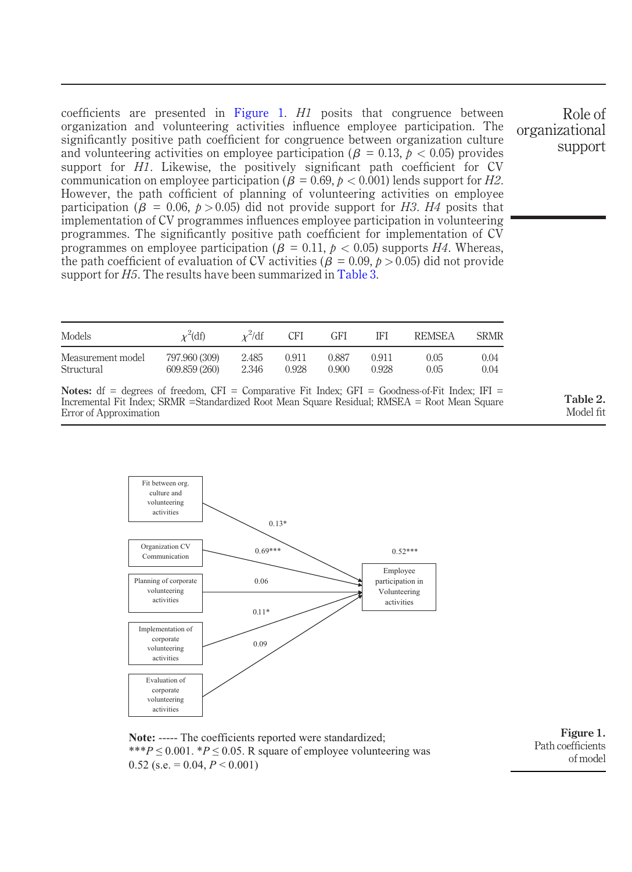coefficients are presented in Figure 1.  $H1$  posits that congruence between organization and volunteering activities influence employee participation. The significantly positive path coefficient for congruence between organization culture and volunteering activities on employee participation ( $\beta = 0.13$ ,  $\bar{p} < 0.05$ ) provides support for  $H\tilde{I}$ . Likewise, the positively significant path coefficient for CV communication on employee participation ( $\beta = 0.69, p < 0.001$ ) lends support for H2. However, the path cofficient of planning of volunteering activities on employee participation ( $\beta = 0.06$ ,  $p > 0.05$ ) did not provide support for H3. H4 posits that implementation of CV programmes influences employee participation in volunteering programmes. The significantly positive path coefficient for implementation of CV programmes on employee participation ( $\beta = 0.11$ ,  $p < 0.05$ ) supports H4. Whereas, the path coefficient of evaluation of CV activities ( $\beta = 0.09, p > 0.05$ ) did not provide support for  $H_5$ . The results have been summarized in Table 3.

| Models            | $\chi^2$ (df) | $x^2$ /df | CFI   | GFI   | IFI   | <b>REMSEA</b> | <b>SRMR</b> |
|-------------------|---------------|-----------|-------|-------|-------|---------------|-------------|
| Measurement model | 797.960 (309) | 2.485     | 0.911 | 0.887 | 0.911 | 0.05          | 0.04        |
| Structural        | 609.859 (260) | 2.346     | 0.928 | 0.900 | 0.928 | 0.05          | 0.04        |

Notes:  $df = degrees of freedom, CFI = Comparative Fit Index; GFI = Goodness-of-Fit Index; IFI =$ Incremental Fit Index; SRMR =Standardized Root Mean Square Residual; RMSEA = Root Mean Square Error of Approximation

> Fit between org. culture and volunteering

Table 2. Model fit

Role of

support

organizational



**Note:** ----- The coefficients reported were standardized; \*\*\* $P \le 0.001$ . \* $P \le 0.05$ . R square of employee volunteering was  $0.52$  (s.e.  $= 0.04, P \le 0.001$ )

Figure 1. Path coefficients of model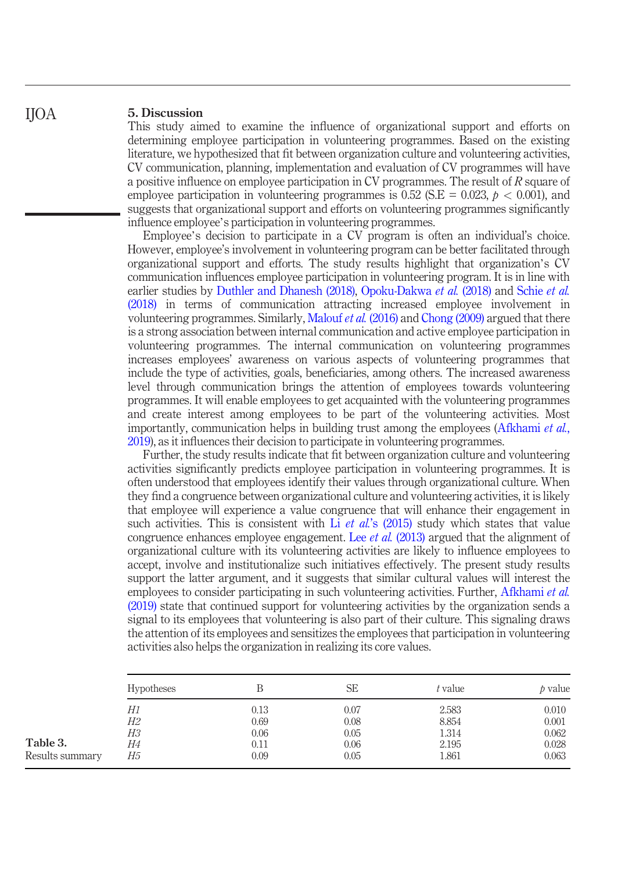#### 5. Discussion IJOA

This study aimed to examine the influence of organizational support and efforts on determining employee participation in volunteering programmes. Based on the existing literature, we hypothesized that fit between organization culture and volunteering activities, CV communication, planning, implementation and evaluation of CV programmes will have a positive influence on employee participation in CV programmes. The result of R square of employee participation in volunteering programmes is 0.52 (S.E = 0.023,  $p < 0.001$ ), and suggests that organizational support and efforts on volunteering programmes significantly influence employee's participation in volunteering programmes.

Employee's decision to participate in a CV program is often an individual's choice. However, employee's involvement in volunteering program can be better facilitated through organizational support and efforts. The study results highlight that organization's CV communication influences employee participation in volunteering program. It is in line with earlier studies by Duthler and Dhanesh (2018), Opoku-Dakwa et al. (2018) and Schie et al. (2018) in terms of communication attracting increased employee involvement in volunteering programmes. Similarly, Malouf et al. (2016) and Chong (2009) argued that there is a strong association between internal communication and active employee participation in volunteering programmes. The internal communication on volunteering programmes increases employees' awareness on various aspects of volunteering programmes that include the type of activities, goals, beneficiaries, among others. The increased awareness level through communication brings the attention of employees towards volunteering programmes. It will enable employees to get acquainted with the volunteering programmes and create interest among employees to be part of the volunteering activities. Most importantly, communication helps in building trust among the employees (Afkhami *et al.*, 2019), as it influences their decision to participate in volunteering programmes.

Further, the study results indicate that fit between organization culture and volunteering activities significantly predicts employee participation in volunteering programmes. It is often understood that employees identify their values through organizational culture. When they find a congruence between organizational culture and volunteering activities, it is likely that employee will experience a value congruence that will enhance their engagement in such activities. This is consistent with Li *et al.*'s  $(2015)$  study which states that value congruence enhances employee engagement. Lee *et al.* (2013) argued that the alignment of organizational culture with its volunteering activities are likely to influence employees to accept, involve and institutionalize such initiatives effectively. The present study results support the latter argument, and it suggests that similar cultural values will interest the employees to consider participating in such volunteering activities. Further, Afkhami *et al.* (2019) state that continued support for volunteering activities by the organization sends a signal to its employees that volunteering is also part of their culture. This signaling draws the attention of its employees and sensitizes the employees that participation in volunteering activities also helps the organization in realizing its core values.

|                 | <b>Hypotheses</b> | В        | SE   | t value | p value |
|-----------------|-------------------|----------|------|---------|---------|
|                 | Н1                | 0.13     | 0.07 | 2.583   | 0.010   |
|                 | Н2                | 0.69     | 0.08 | 8.854   | 0.001   |
|                 | Н3                | 0.06     | 0.05 | 1.314   | 0.062   |
| Table 3.        | Н4                | $0.11\,$ | 0.06 | 2.195   | 0.028   |
| Results summary | Н5                | 0.09     | 0.05 | 1.861   | 0.063   |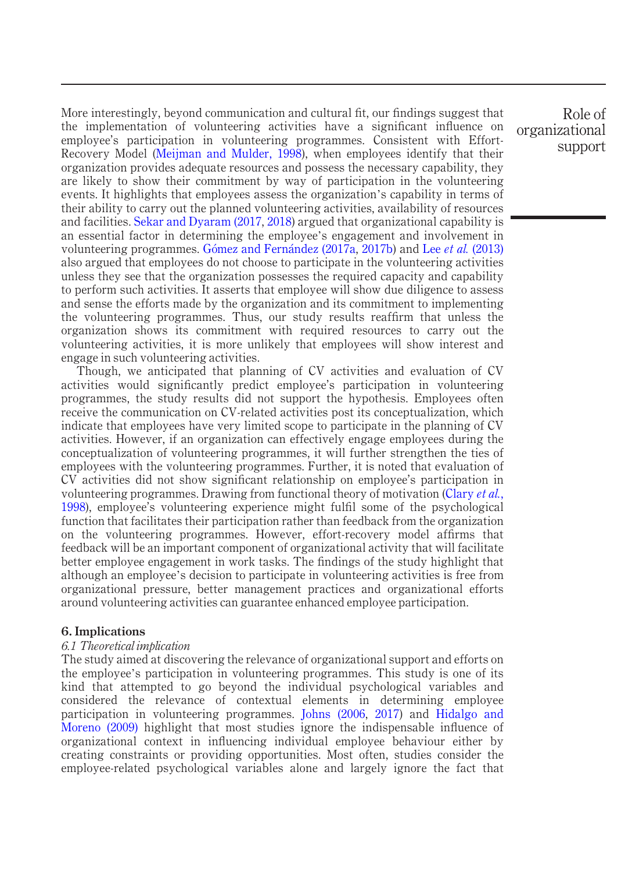More interestingly, beyond communication and cultural fit, our findings suggest that the implementation of volunteering activities have a significant influence on employee's participation in volunteering programmes. Consistent with Effort-Recovery Model (Meijman and Mulder, 1998), when employees identify that their organization provides adequate resources and possess the necessary capability, they are likely to show their commitment by way of participation in the volunteering events. It highlights that employees assess the organization's capability in terms of their ability to carry out the planned volunteering activities, availability of resources and facilities. Sekar and Dyaram (2017, 2018) argued that organizational capability is an essential factor in determining the employee's engagement and involvement in volunteering programmes. Gómez and Fernández (2017a, 2017b) and Lee *et al.* (2013) also argued that employees do not choose to participate in the volunteering activities unless they see that the organization possesses the required capacity and capability to perform such activities. It asserts that employee will show due diligence to assess and sense the efforts made by the organization and its commitment to implementing the volunteering programmes. Thus, our study results reaffirm that unless the organization shows its commitment with required resources to carry out the volunteering activities, it is more unlikely that employees will show interest and engage in such volunteering activities.

Though, we anticipated that planning of CV activities and evaluation of CV activities would significantly predict employee's participation in volunteering programmes, the study results did not support the hypothesis. Employees often receive the communication on CV-related activities post its conceptualization, which indicate that employees have very limited scope to participate in the planning of CV activities. However, if an organization can effectively engage employees during the conceptualization of volunteering programmes, it will further strengthen the ties of employees with the volunteering programmes. Further, it is noted that evaluation of CV activities did not show significant relationship on employee's participation in volunteering programmes. Drawing from functional theory of motivation (Clary *et al.*, 1998), employee's volunteering experience might fulfil some of the psychological function that facilitates their participation rather than feedback from the organization on the volunteering programmes. However, effort-recovery model affirms that feedback will be an important component of organizational activity that will facilitate better employee engagement in work tasks. The findings of the study highlight that although an employee's decision to participate in volunteering activities is free from organizational pressure, better management practices and organizational efforts around volunteering activities can guarantee enhanced employee participation.

#### 6. Implications

#### 6.1 Theoretical implication

The study aimed at discovering the relevance of organizational support and efforts on the employee's participation in volunteering programmes. This study is one of its kind that attempted to go beyond the individual psychological variables and considered the relevance of contextual elements in determining employee participation in volunteering programmes. Johns (2006, 2017) and Hidalgo and Moreno (2009) highlight that most studies ignore the indispensable influence of organizational context in influencing individual employee behaviour either by creating constraints or providing opportunities. Most often, studies consider the employee-related psychological variables alone and largely ignore the fact that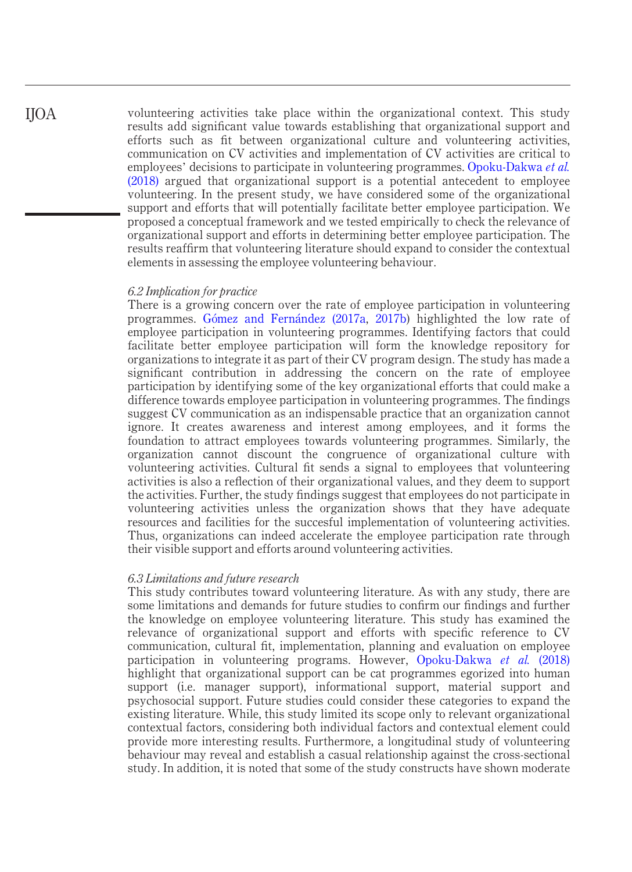volunteering activities take place within the organizational context. This study results add significant value towards establishing that organizational support and efforts such as fit between organizational culture and volunteering activities, communication on CV activities and implementation of CV activities are critical to employees' decisions to participate in volunteering programmes. Opoku-Dakwa et al. (2018) argued that organizational support is a potential antecedent to employee volunteering. In the present study, we have considered some of the organizational support and efforts that will potentially facilitate better employee participation. We proposed a conceptual framework and we tested empirically to check the relevance of organizational support and efforts in determining better employee participation. The results reaffirm that volunteering literature should expand to consider the contextual elements in assessing the employee volunteering behaviour.

#### 6.2 Implication for practice

There is a growing concern over the rate of employee participation in volunteering programmes. Gomez and Fernandez (2017a, 2017b) highlighted the low rate of employee participation in volunteering programmes. Identifying factors that could facilitate better employee participation will form the knowledge repository for organizations to integrate it as part of their CV program design. The study has made a significant contribution in addressing the concern on the rate of employee participation by identifying some of the key organizational efforts that could make a difference towards employee participation in volunteering programmes. The findings suggest CV communication as an indispensable practice that an organization cannot ignore. It creates awareness and interest among employees, and it forms the foundation to attract employees towards volunteering programmes. Similarly, the organization cannot discount the congruence of organizational culture with volunteering activities. Cultural fit sends a signal to employees that volunteering activities is also a reflection of their organizational values, and they deem to support the activities. Further, the study findings suggest that employees do not participate in volunteering activities unless the organization shows that they have adequate resources and facilities for the succesful implementation of volunteering activities. Thus, organizations can indeed accelerate the employee participation rate through their visible support and efforts around volunteering activities.

#### 6.3 Limitations and future research

This study contributes toward volunteering literature. As with any study, there are some limitations and demands for future studies to confirm our findings and further the knowledge on employee volunteering literature. This study has examined the relevance of organizational support and efforts with specific reference to CV communication, cultural fit, implementation, planning and evaluation on employee participation in volunteering programs. However, Opoku-Dakwa et al. (2018) highlight that organizational support can be cat programmes egorized into human support (i.e. manager support), informational support, material support and psychosocial support. Future studies could consider these categories to expand the existing literature. While, this study limited its scope only to relevant organizational contextual factors, considering both individual factors and contextual element could provide more interesting results. Furthermore, a longitudinal study of volunteering behaviour may reveal and establish a casual relationship against the cross-sectional study. In addition, it is noted that some of the study constructs have shown moderate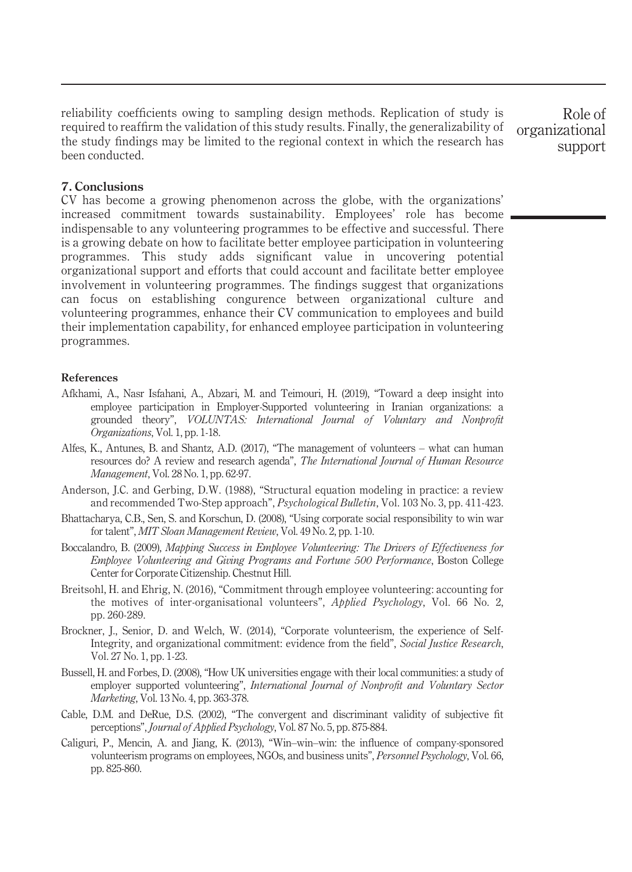reliability coefficients owing to sampling design methods. Replication of study is required to reaffirm the validation of this study results. Finally, the generalizability of the study findings may be limited to the regional context in which the research has been conducted.

Role of organizational support

#### 7. Conclusions

CV has become a growing phenomenon across the globe, with the organizations' increased commitment towards sustainability. Employees' role has become indispensable to any volunteering programmes to be effective and successful. There is a growing debate on how to facilitate better employee participation in volunteering programmes. This study adds significant value in uncovering potential organizational support and efforts that could account and facilitate better employee involvement in volunteering programmes. The findings suggest that organizations can focus on establishing congurence between organizational culture and volunteering programmes, enhance their CV communication to employees and build their implementation capability, for enhanced employee participation in volunteering programmes.

#### References

- Afkhami, A., Nasr Isfahani, A., Abzari, M. and Teimouri, H. (2019), "Toward a deep insight into employee participation in Employer-Supported volunteering in Iranian organizations: a grounded theory", VOLUNTAS: International Journal of Voluntary and Nonprofit Organizations, Vol. 1, pp. 1-18.
- Alfes, K., Antunes, B. and Shantz, A.D. (2017), "The management of volunteers what can human resources do? A review and research agenda", The International Journal of Human Resource Management, Vol. 28 No. 1, pp. 62-97.
- Anderson, J.C. and Gerbing, D.W. (1988), "Structural equation modeling in practice: a review and recommended Two-Step approach", Psychological Bulletin, Vol. 103 No. 3, pp. 411-423.
- Bhattacharya, C.B., Sen, S. and Korschun, D. (2008), "Using corporate social responsibility to win war for talent", MIT Sloan Management Review, Vol. 49 No. 2, pp. 1-10.
- Boccalandro, B. (2009), Mapping Success in Employee Volunteering: The Drivers of Effectiveness for Employee Volunteering and Giving Programs and Fortune 500 Performance, Boston College Center for Corporate Citizenship. Chestnut Hill.
- Breitsohl, H. and Ehrig, N. (2016), "Commitment through employee volunteering: accounting for the motives of inter-organisational volunteers", Applied Psychology, Vol. 66 No. 2, pp. 260-289.
- Brockner, J., Senior, D. and Welch, W. (2014), "Corporate volunteerism, the experience of Self-Integrity, and organizational commitment: evidence from the field", Social Justice Research, Vol. 27 No. 1, pp. 1-23.
- Bussell, H. and Forbes, D. (2008), "How UK universities engage with their local communities: a study of employer supported volunteering", International Journal of Nonprofit and Voluntary Sector Marketing, Vol. 13 No. 4, pp. 363-378.
- Cable, D.M. and DeRue, D.S. (2002), "The convergent and discriminant validity of subjective fit perceptions", Journal of Applied Psychology, Vol. 87 No. 5, pp. 875-884.
- Caliguri, P., Mencin, A. and Jiang, K. (2013), "Win–win–win: the influence of company-sponsored volunteerism programs on employees, NGOs, and business units", Personnel Psychology, Vol. 66, pp. 825-860.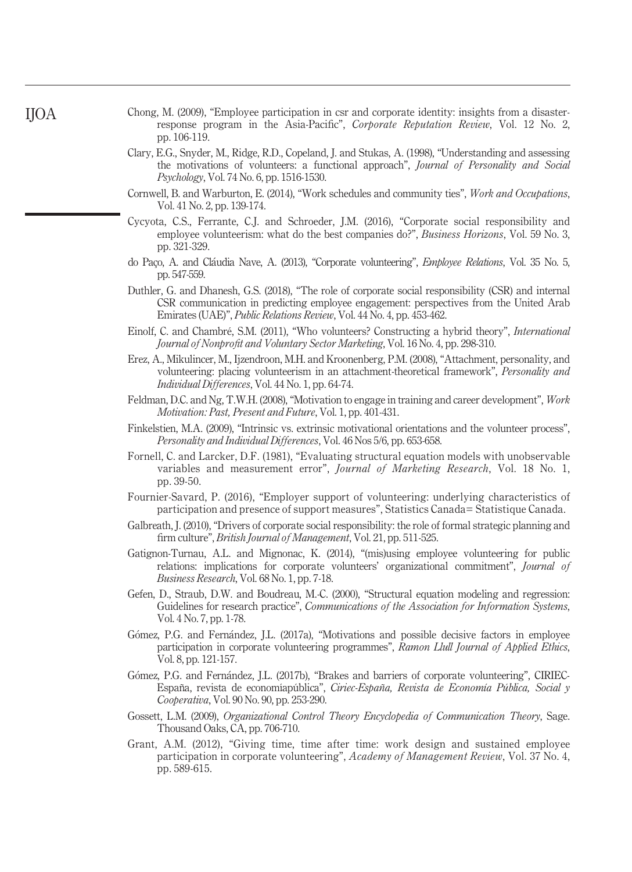- Chong, M. (2009), "Employee participation in csr and corporate identity: insights from a disasterresponse program in the Asia-Pacific", Corporate Reputation Review, Vol. 12 No. 2, pp. 106-119.
- Clary, E.G., Snyder, M., Ridge, R.D., Copeland, J. and Stukas, A. (1998), "Understanding and assessing the motivations of volunteers: a functional approach", Journal of Personality and Social Psychology, Vol. 74 No. 6, pp. 1516-1530.
- Cornwell, B. and Warburton, E. (2014), "Work schedules and community ties", Work and Occupations, Vol. 41 No. 2, pp. 139-174.
- Cycyota, C.S., Ferrante, C.J. and Schroeder, J.M. (2016), "Corporate social responsibility and employee volunteerism: what do the best companies do?", *Business Horizons*, Vol. 59 No. 3, pp. 321-329.
- do Paço, A. and Cláudia Nave, A. (2013), "Corporate volunteering", Employee Relations, Vol. 35 No. 5, pp. 547-559.
- Duthler, G. and Dhanesh, G.S. (2018), "The role of corporate social responsibility (CSR) and internal CSR communication in predicting employee engagement: perspectives from the United Arab Emirates (UAE)", Public Relations Review, Vol. 44 No. 4, pp. 453-462.
- Einolf, C. and Chambré, S.M. (2011), "Who volunteers? Constructing a hybrid theory", International Journal of Nonprofit and Voluntary Sector Marketing, Vol. 16 No. 4, pp. 298-310.
- Erez, A., Mikulincer, M., Ijzendroon, M.H. and Kroonenberg, P.M. (2008), "Attachment, personality, and volunteering: placing volunteerism in an attachment-theoretical framework", *Personality and* Individual Differences, Vol. 44 No. 1, pp. 64-74.
- Feldman, D.C. and Ng, T.W.H. (2008), "Motivation to engage in training and career development", Work Motivation: Past, Present and Future, Vol. 1, pp. 401-431.
- Finkelstien, M.A. (2009), "Intrinsic vs. extrinsic motivational orientations and the volunteer process", Personality and Individual Differences, Vol. 46 Nos 5/6, pp. 653-658.
- Fornell, C. and Larcker, D.F. (1981), "Evaluating structural equation models with unobservable variables and measurement error", *Journal of Marketing Research*, Vol. 18 No. 1, pp. 39-50.
- Fournier-Savard, P. (2016), "Employer support of volunteering: underlying characteristics of participation and presence of support measures", Statistics Canada= Statistique Canada.
- Galbreath, J. (2010), "Drivers of corporate social responsibility: the role of formal strategic planning and firm culture", *British Journal of Management*, Vol. 21, pp. 511-525.
- Gatignon-Turnau, A.L. and Mignonac, K. (2014), "(mis)using employee volunteering for public relations: implications for corporate volunteers' organizational commitment", *Journal of* Business Research, Vol. 68 No. 1, pp. 7-18.
- Gefen, D., Straub, D.W. and Boudreau, M.-C. (2000), "Structural equation modeling and regression: Guidelines for research practice", Communications of the Association for Information Systems, Vol. 4 No. 7, pp. 1-78.
- Gómez, P.G. and Fernández, J.L. (2017a), "Motivations and possible decisive factors in employee participation in corporate volunteering programmes", Ramon Llull Journal of Applied Ethics, Vol. 8, pp. 121-157.
- Gómez, P.G. and Fernández, J.L. (2017b), "Brakes and barriers of corporate volunteering", CIRIEC-España, revista de economíapública", Ciriec-España, Revista de Economía Pública, Social y Cooperativa, Vol. 90 No. 90, pp. 253-290.
- Gossett, L.M. (2009), Organizational Control Theory Encyclopedia of Communication Theory, Sage. Thousand Oaks, CA, pp. 706-710.
- Grant, A.M. (2012), "Giving time, time after time: work design and sustained employee participation in corporate volunteering", Academy of Management Review, Vol. 37 No. 4, pp. 589-615.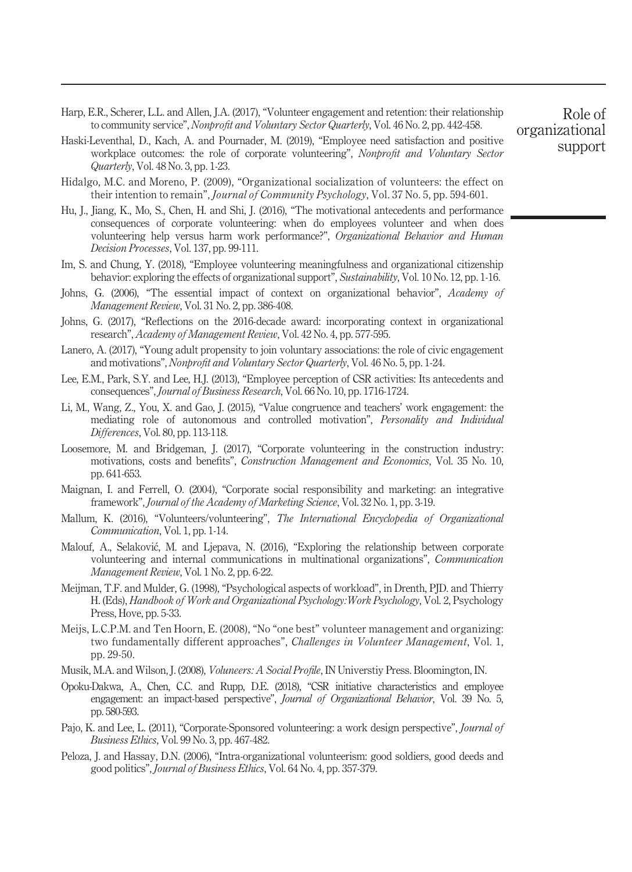- Harp, E.R., Scherer, L.L. and Allen, J.A. (2017), "Volunteer engagement and retention: their relationship to community service", Nonprofit and Voluntary Sector Quarterly, Vol. 46 No. 2, pp. 442-458.
- Haski-Leventhal, D., Kach, A. and Pournader, M. (2019), "Employee need satisfaction and positive workplace outcomes: the role of corporate volunteering", Nonprofit and Voluntary Sector Quarterly, Vol. 48 No. 3, pp. 1-23.
- Hidalgo, M.C. and Moreno, P. (2009), "Organizational socialization of volunteers: the effect on their intention to remain", Journal of Community Psychology, Vol. 37 No. 5, pp. 594-601.
- Hu, J., Jiang, K., Mo, S., Chen, H. and Shi, J. (2016), "The motivational antecedents and performance consequences of corporate volunteering: when do employees volunteer and when does volunteering help versus harm work performance?", Organizational Behavior and Human Decision Processes, Vol. 137, pp. 99-111.
- Im, S. and Chung, Y. (2018), "Employee volunteering meaningfulness and organizational citizenship behavior: exploring the effects of organizational support", Sustainability, Vol. 10 No. 12, pp. 1-16.
- Johns, G. (2006), "The essential impact of context on organizational behavior", Academy of Management Review, Vol. 31 No. 2, pp. 386-408.
- Johns, G. (2017), "Reflections on the 2016-decade award: incorporating context in organizational research", Academy of Management Review, Vol. 42 No. 4, pp. 577-595.
- Lanero, A. (2017), "Young adult propensity to join voluntary associations: the role of civic engagement and motivations", Nonprofit and Voluntary Sector Quarterly, Vol. 46 No. 5, pp. 1-24.
- Lee, E.M., Park, S.Y. and Lee, H.J. (2013), "Employee perception of CSR activities: Its antecedents and consequences", Journal of Business Research, Vol. 66 No. 10, pp. 1716-1724.
- Li, M., Wang, Z., You, X. and Gao, J. (2015), "Value congruence and teachers' work engagement: the mediating role of autonomous and controlled motivation", Personality and Individual Differences, Vol. 80, pp. 113-118.
- Loosemore, M. and Bridgeman, J. (2017), "Corporate volunteering in the construction industry: motivations, costs and benefits", Construction Management and Economics, Vol. 35 No. 10, pp. 641-653.
- Maignan, I. and Ferrell, O. (2004), "Corporate social responsibility and marketing: an integrative framework", Journal of the Academy of Marketing Science, Vol. 32 No. 1, pp. 3-19.
- Mallum, K. (2016), "Volunteers/volunteering", The International Encyclopedia of Organizational Communication, Vol. 1, pp. 1-14.
- Malouf, A., Selakovic, M. and Ljepava, N. (2016), "Exploring the relationship between corporate volunteering and internal communications in multinational organizations", Communication Management Review, Vol. 1 No. 2, pp. 6-22.
- Meijman, T.F. and Mulder, G. (1998), "Psychological aspects of workload", in Drenth, PJD. and Thierry H. (Eds), Handbook of Work and Organizational Psychology:Work Psychology, Vol. 2, Psychology Press, Hove, pp. 5-33.
- Meijs, L.C.P.M. and Ten Hoorn, E. (2008), "No "one best" volunteer management and organizing: two fundamentally different approaches", Challenges in Volunteer Management, Vol. 1, pp. 29-50.
- Musik, M.A. and Wilson, J. (2008), *Voluneers: A Social Profile*, IN Universtiy Press. Bloomington, IN.
- Opoku-Dakwa, A., Chen, C.C. and Rupp, D.E. (2018), "CSR initiative characteristics and employee engagement: an impact-based perspective", Journal of Organizational Behavior, Vol. 39 No. 5, pp. 580-593.
- Pajo, K. and Lee, L. (2011), "Corporate-Sponsored volunteering: a work design perspective", *Journal of* Business Ethics, Vol. 99 No. 3, pp. 467-482.
- Peloza, J. and Hassay, D.N. (2006), "Intra-organizational volunteerism: good soldiers, good deeds and good politics", Journal of Business Ethics, Vol. 64 No. 4, pp. 357-379.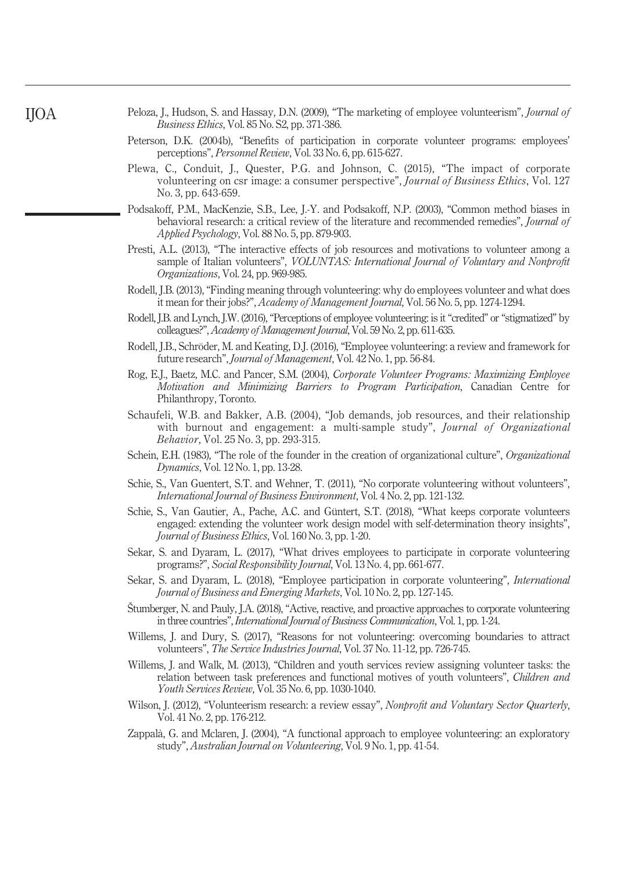| Peloza, J., Hudson, S. and Hassay, D.N. (2009), "The marketing of employee volunteerism", <i>Journal of</i> |  |  |
|-------------------------------------------------------------------------------------------------------------|--|--|
| <i>Business Ethics</i> , Vol. 85 No. S2, pp. 371-386.                                                       |  |  |

- Peterson, D.K. (2004b), "Benefits of participation in corporate volunteer programs: employees' perceptions", Personnel Review, Vol. 33 No. 6, pp. 615-627.
- Plewa, C., Conduit, J., Quester, P.G. and Johnson, C. (2015), "The impact of corporate volunteering on csr image: a consumer perspective", *Journal of Business Ethics*, Vol. 127 No. 3, pp. 643-659.
- Podsakoff, P.M., MacKenzie, S.B., Lee, J.-Y. and Podsakoff, N.P. (2003), "Common method biases in behavioral research: a critical review of the literature and recommended remedies", Journal of Applied Psychology, Vol. 88 No. 5, pp. 879-903.
- Presti, A.L. (2013), "The interactive effects of job resources and motivations to volunteer among a sample of Italian volunteers", VOLUNTAS: International Journal of Voluntary and Nonprofit Organizations, Vol. 24, pp. 969-985.
- Rodell, J.B. (2013), "Finding meaning through volunteering: why do employees volunteer and what does it mean for their jobs?", Academy of Management Journal, Vol. 56 No. 5, pp. 1274-1294.
- Rodell, J.B. and Lynch, J.W. (2016), "Perceptions of employee volunteering: is it "credited" or "stigmatized" by colleagues?", Academy of Management Journal, Vol. 59 No. 2, pp. 611-635.
- Rodell, J.B., Schröder, M. and Keating, D.J. (2016), "Employee volunteering: a review and framework for future research", Journal of Management, Vol. 42 No. 1, pp. 56-84.
- Rog, E.J., Baetz, M.C. and Pancer, S.M. (2004), Corporate Volunteer Programs: Maximizing Employee Motivation and Minimizing Barriers to Program Participation, Canadian Centre for Philanthropy, Toronto.
- Schaufeli, W.B. and Bakker, A.B. (2004), "Job demands, job resources, and their relationship with burnout and engagement: a multi-sample study", *Journal of Organizational* Behavior, Vol. 25 No. 3, pp. 293-315.
- Schein, E.H. (1983), "The role of the founder in the creation of organizational culture", *Organizational* Dynamics, Vol. 12 No. 1, pp. 13-28.
- Schie, S., Van Guentert, S.T. and Wehner, T. (2011), "No corporate volunteering without volunteers", International Journal of Business Environment, Vol. 4 No. 2, pp. 121-132.
- Schie, S., Van Gautier, A., Pache, A.C. and Güntert, S.T. (2018), "What keeps corporate volunteers engaged: extending the volunteer work design model with self-determination theory insights", Journal of Business Ethics, Vol. 160 No. 3, pp. 1-20.
- Sekar, S. and Dyaram, L. (2017), "What drives employees to participate in corporate volunteering programs?", Social Responsibility Journal, Vol. 13 No. 4, pp. 661-677.
- Sekar, S. and Dyaram, L. (2018), "Employee participation in corporate volunteering", International Journal of Business and Emerging Markets, Vol. 10 No. 2, pp. 127-145.
- Štumberger, N. and Pauly, J.A. (2018), "Active, reactive, and proactive approaches to corporate volunteering in three countries", International Journal of Business Communication, Vol. 1, pp. 1-24.
- Willems, J. and Dury, S. (2017), "Reasons for not volunteering: overcoming boundaries to attract volunteers", The Service Industries Journal, Vol. 37 No. 11-12, pp. 726-745.
- Willems, J. and Walk, M. (2013), "Children and youth services review assigning volunteer tasks: the relation between task preferences and functional motives of youth volunteers", Children and Youth Services Review, Vol. 35 No. 6, pp. 1030-1040.
- Wilson, J. (2012), "Volunteerism research: a review essay", Nonprofit and Voluntary Sector Quarterly, Vol. 41 No. 2, pp. 176-212.
- Zappalà, G. and Mclaren, J. (2004), "A functional approach to employee volunteering: an exploratory study", Australian Journal on Volunteering, Vol. 9 No. 1, pp. 41-54.